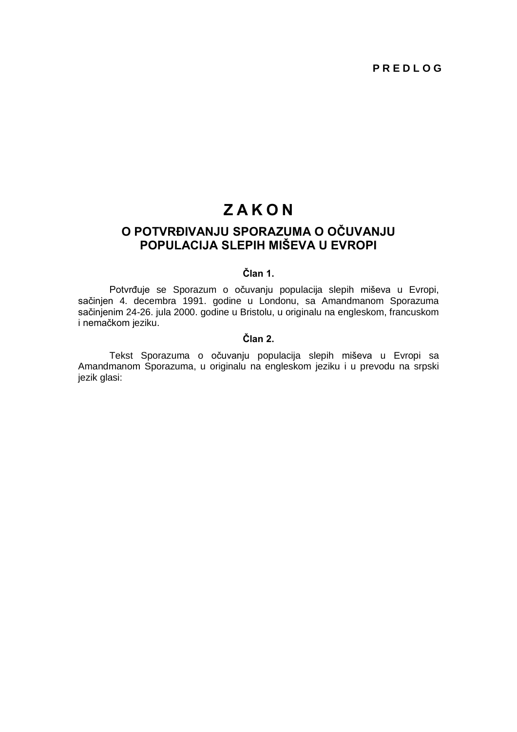# **Z A K O N**

# **O POTVRĐIVANJU SPORAZUMA O OČUVANJU POPULACIJA SLEPIH MIŠEVA U EVROPI**

# **Član 1.**

Potvrđuje se Sporazum o očuvanju populacija slepih miševa u Evropi, sačinjen 4. decembra 1991. godine u Londonu, sa Amandmanom Sporazuma sačinjenim 24-26. jula 2000. godine u Bristolu, u originalu na engleskom, francuskom i nemačkom jeziku.

# **Član 2.**

Tekst Sporazuma o očuvanju populacija slepih miševa u Evropi sa Amandmanom Sporazuma, u originalu na engleskom jeziku i u prevodu na srpski jezik glasi: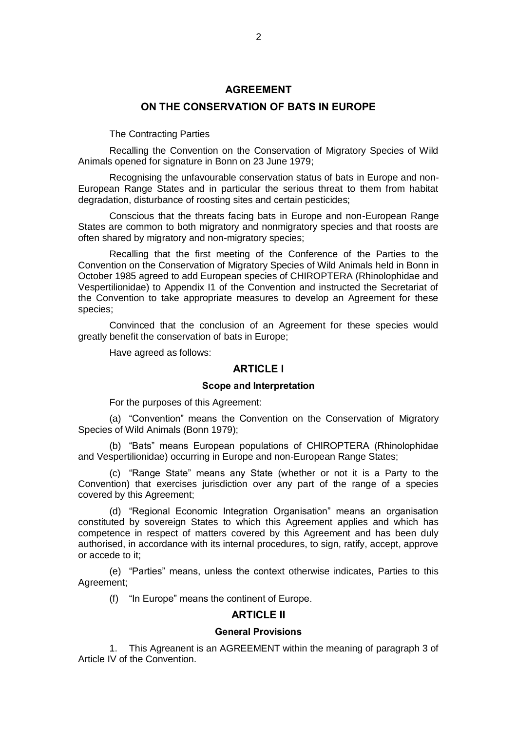### **AGREEMENT**

### **ON THE CONSERVATION OF BATS IN EUROPE**

The Contracting Parties

Recalling the Convention on the Conservation of Migratory Species of Wild Animals opened for signature in Bonn on 23 June 1979;

Recognising the unfavourable conservation status of bats in Europe and non-European Range States and in particular the serious threat to them from habitat degradation, disturbance of roosting sites and certain pesticides;

Conscious that the threats facing bats in Europe and non-European Range States are common to both migratory and nonmigratory species and that roosts are often shared by migratory and non-migratory species;

Recalling that the first meeting of the Conference of the Parties to the Convention on the Conservation of Migratory Species of Wild Animals held in Bonn in October 1985 agreed to add European species of CHIROPTERA (Rhinolophidae and Vespertilionidae) to Appendix I1 of the Convention and instructed the Secretariat of the Convention to take appropriate measures to develop an Agreement for these species;

Convinced that the conclusion of an Agreement for these species would greatly benefit the conservation of bats in Europe;

Have agreed as follows:

# **ARTICI F I**

#### **Scope and Interpretation**

For the purposes of this Agreement:

(a) "Convention" means the Convention on the Conservation of Migratory Species of Wild Animals (Bonn 1979);

(b) "Bats" means European populations of CHIROPTERA (Rhinolophidae and Vespertilionidae) occurring in Europe and non-European Range States;

(c) "Range State" means any State (whether or not it is a Party to the Convention) that exercises jurisdiction over any part of the range of a species covered by this Agreement;

(d) "Regional Economic Integration Organisation" means an organisation constituted by sovereign States to which this Agreement applies and which has competence in respect of matters covered by this Agreement and has been duly authorised, in accordance with its internal procedures, to sign, ratify, accept, approve or accede to it;

(e) "Parties" means, unless the context otherwise indicates, Parties to this Agreement;

(f) "In Europe" means the continent of Europe.

# **ARTICLE II**

#### **General Provisions**

1. This Agreanent is an AGREEMENT within the meaning of paragraph 3 of Article IV of the Convention.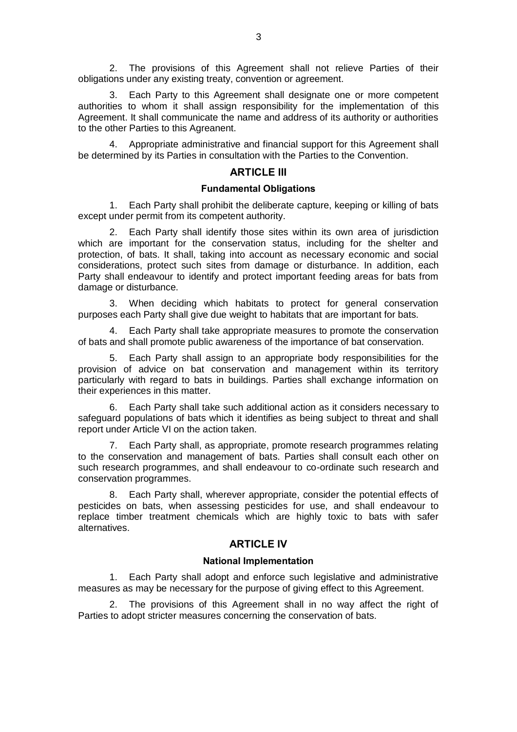2. The provisions of this Agreement shall not relieve Parties of their obligations under any existing treaty, convention or agreement.

3. Each Party to this Agreement shall designate one or more competent authorities to whom it shall assign responsibility for the implementation of this Agreement. It shall communicate the name and address of its authority or authorities to the other Parties to this Agreanent.

4. Appropriate administrative and financial support for this Agreement shall be determined by its Parties in consultation with the Parties to the Convention.

# **ARTICLE III**

### **Fundamental Obligations**

1. Each Party shall prohibit the deliberate capture, keeping or killing of bats except under permit from its competent authority.

2. Each Party shall identify those sites within its own area of jurisdiction which are important for the conservation status, including for the shelter and protection, of bats. It shall, taking into account as necessary economic and social considerations, protect such sites from damage or disturbance. In addition, each Party shall endeavour to identify and protect important feeding areas for bats from damage or disturbance.

3. When deciding which habitats to protect for general conservation purposes each Party shall give due weight to habitats that are important for bats.

4. Each Party shall take appropriate measures to promote the conservation of bats and shall promote public awareness of the importance of bat conservation.

5. Each Party shall assign to an appropriate body responsibilities for the provision of advice on bat conservation and management within its territory particularly with regard to bats in buildings. Parties shall exchange information on their experiences in this matter.

6. Each Party shall take such additional action as it considers necessary to safeguard populations of bats which it identifies as being subject to threat and shall report under Article VI on the action taken.

7. Each Party shall, as appropriate, promote research programmes relating to the conservation and management of bats. Parties shall consult each other on such research programmes, and shall endeavour to co-ordinate such research and conservation programmes.

8. Each Party shall, wherever appropriate, consider the potential effects of pesticides on bats, when assessing pesticides for use, and shall endeavour to replace timber treatment chemicals which are highly toxic to bats with safer alternatives.

# **ARTICLE IV**

#### **National Implementation**

1. Each Party shall adopt and enforce such legislative and administrative measures as may be necessary for the purpose of giving effect to this Agreement.

2. The provisions of this Agreement shall in no way affect the right of Parties to adopt stricter measures concerning the conservation of bats.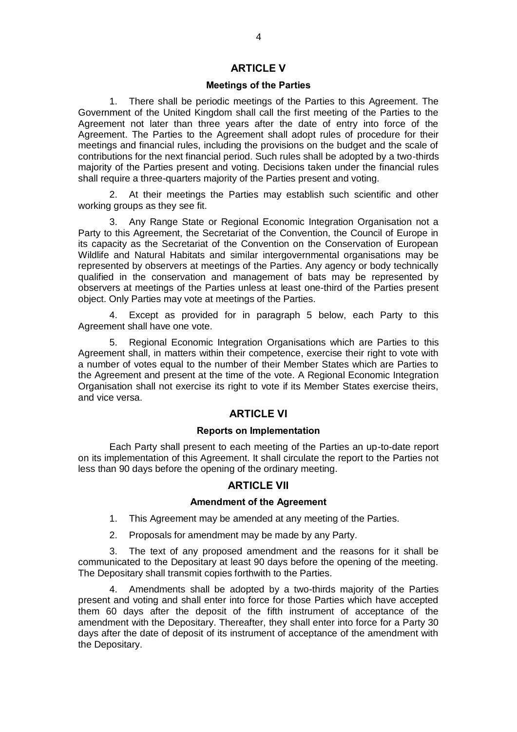# **ARTICLE V**

#### **Meetings of the Parties**

1. There shall be periodic meetings of the Parties to this Agreement. The Government of the United Kingdom shall call the first meeting of the Parties to the Agreement not later than three years after the date of entry into force of the Agreement. The Parties to the Agreement shall adopt rules of procedure for their meetings and financial rules, including the provisions on the budget and the scale of contributions for the next financial period. Such rules shall be adopted by a two-thirds majority of the Parties present and voting. Decisions taken under the financial rules shall require a three-quarters majority of the Parties present and voting.

2. At their meetings the Parties may establish such scientific and other working groups as they see fit.

3. Any Range State or Regional Economic Integration Organisation not a Party to this Agreement, the Secretariat of the Convention, the Council of Europe in its capacity as the Secretariat of the Convention on the Conservation of European Wildlife and Natural Habitats and similar intergovernmental organisations may be represented by observers at meetings of the Parties. Any agency or body technically qualified in the conservation and management of bats may be represented by observers at meetings of the Parties unless at least one-third of the Parties present object. Only Parties may vote at meetings of the Parties.

4. Except as provided for in paragraph 5 below, each Party to this Agreement shall have one vote.

5. Regional Economic Integration Organisations which are Parties to this Agreement shall, in matters within their competence, exercise their right to vote with a number of votes equal to the number of their Member States which are Parties to the Agreement and present at the time of the vote. A Regional Economic Integration Organisation shall not exercise its right to vote if its Member States exercise theirs, and vice versa.

### **ARTICLE VI**

#### **Reports on Implementation**

Each Party shall present to each meeting of the Parties an up-to-date report on its implementation of this Agreement. It shall circulate the report to the Parties not less than 90 days before the opening of the ordinary meeting.

# **ARTICLE VII**

# **Amendment of the Agreement**

- 1. This Agreement may be amended at any meeting of the Parties.
- 2. Proposals for amendment may be made by any Party.

3. The text of any proposed amendment and the reasons for it shall be communicated to the Depositary at least 90 days before the opening of the meeting. The Depositary shall transmit copies forthwith to the Parties.

4. Amendments shall be adopted by a two-thirds majority of the Parties present and voting and shall enter into force for those Parties which have accepted them 60 days after the deposit of the fifth instrument of acceptance of the amendment with the Depositary. Thereafter, they shall enter into force for a Party 30 days after the date of deposit of its instrument of acceptance of the amendment with the Depositary.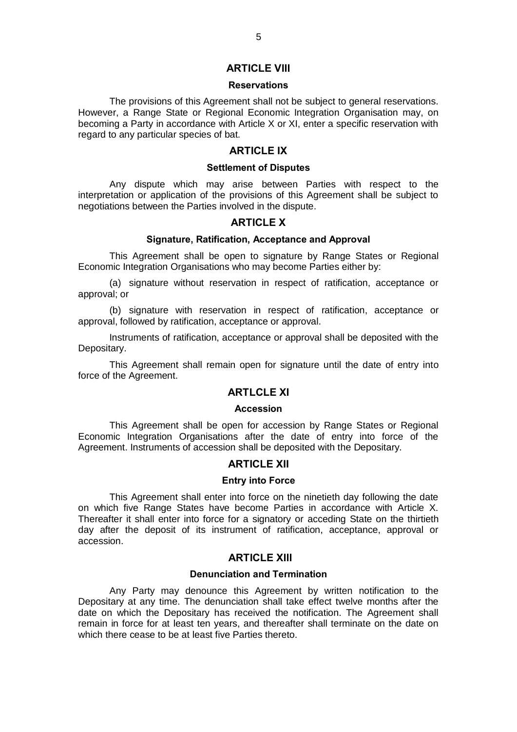### **ARTICLE VIII**

#### **Reservations**

The provisions of this Agreement shall not be subject to general reservations. However, a Range State or Regional Economic Integration Organisation may, on becoming a Party in accordance with Article X or XI, enter a specific reservation with regard to any particular species of bat.

### **ARTICLE IX**

### **Settlement of Disputes**

Any dispute which may arise between Parties with respect to the interpretation or application of the provisions of this Agreement shall be subject to negotiations between the Parties involved in the dispute.

### **ARTICLE X**

### **Signature, Ratification, Acceptance and Approval**

This Agreement shall be open to signature by Range States or Regional Economic Integration Organisations who may become Parties either by:

(a) signature without reservation in respect of ratification, acceptance or approval; or

(b) signature with reservation in respect of ratification, acceptance or approval, followed by ratification, acceptance or approval.

Instruments of ratification, acceptance or approval shall be deposited with the Depositary.

This Agreement shall remain open for signature until the date of entry into force of the Agreement.

# **ARTLCLE XI**

#### **Accession**

This Agreement shall be open for accession by Range States or Regional Economic Integration Organisations after the date of entry into force of the Agreement. Instruments of accession shall be deposited with the Depositary.

# **ARTICI F XII**

### **Entry into Force**

This Agreement shall enter into force on the ninetieth day following the date on which five Range States have become Parties in accordance with Article X. Thereafter it shall enter into force for a signatory or acceding State on the thirtieth day after the deposit of its instrument of ratification, acceptance, approval or accession.

# **ARTICLE XIII**

### **Denunciation and Termination**

Any Party may denounce this Agreement by written notification to the Depositary at any time. The denunciation shall take effect twelve months after the date on which the Depositary has received the notification. The Agreement shall remain in force for at least ten years, and thereafter shall terminate on the date on which there cease to be at least five Parties thereto.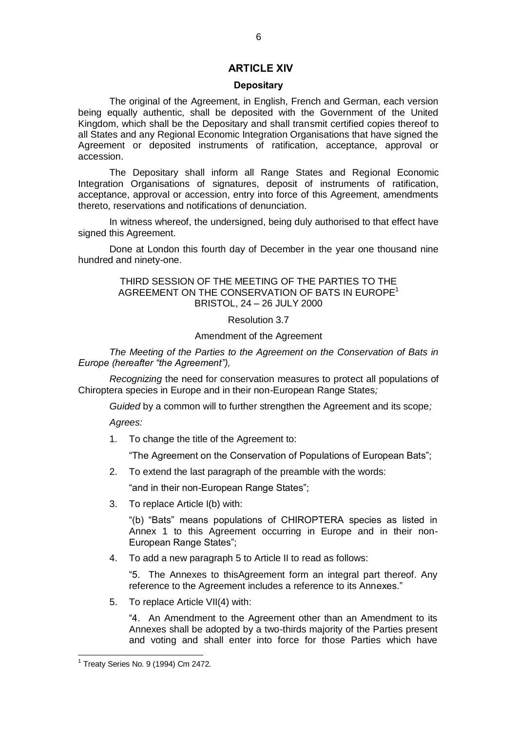### **ARTICLE XIV**

### **Depositary**

The original of the Agreement, in English, French and German, each version being equally authentic, shall be deposited with the Government of the United Kingdom, which shall be the Depositary and shall transmit certified copies thereof to all States and any Regional Economic Integration Organisations that have signed the Agreement or deposited instruments of ratification, acceptance, approval or accession.

The Depositary shall inform all Range States and Regional Economic Integration Organisations of signatures, deposit of instruments of ratification, acceptance, approval or accession, entry into force of this Agreement, amendments thereto, reservations and notifications of denunciation.

In witness whereof, the undersigned, being duly authorised to that effect have signed this Agreement.

Done at London this fourth day of December in the year one thousand nine hundred and ninety-one.

### THIRD SESSION OF THE MEETING OF THE PARTIES TO THE AGREEMENT ON THE CONSERVATION OF BATS IN EUROPE<sup>1</sup> BRISTOL, 24 – 26 JULY 2000

#### Resolution 3.7

#### Amendment of the Agreement

*The Meeting of the Parties to the Agreement on the Conservation of Bats in Europe (hereafter "the Agreement"),*

*Recognizing* the need for conservation measures to protect all populations of Chiroptera species in Europe and in their non-European Range States*;* 

*Guided* by a common will to further strengthen the Agreement and its scope*;*

*Agrees:*

1. To change the title of the Agreement to:

"The Agreement on the Conservation of Populations of European Bats";

2. To extend the last paragraph of the preamble with the words:

"and in their non-European Range States";

3. To replace Article I(b) with:

"(b) "Bats" means populations of CHIROPTERA species as listed in Annex 1 to this Agreement occurring in Europe and in their non-European Range States";

4. To add a new paragraph 5 to Article II to read as follows:

"5. The Annexes to thisAgreement form an integral part thereof. Any reference to the Agreement includes a reference to its Annexes."

5. To replace Article VII(4) with:

"4. An Amendment to the Agreement other than an Amendment to its Annexes shall be adopted by a two-thirds majority of the Parties present and voting and shall enter into force for those Parties which have

 1 Treaty Series No. 9 (1994) Cm 2472.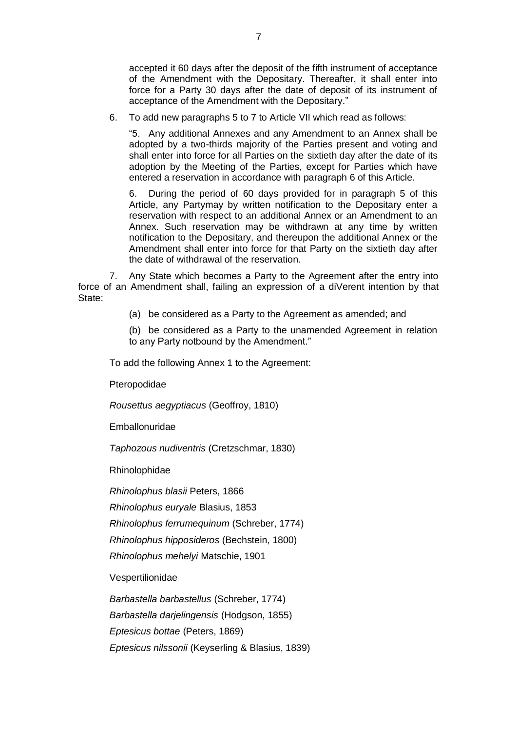accepted it 60 days after the deposit of the fifth instrument of acceptance of the Amendment with the Depositary. Thereafter, it shall enter into force for a Party 30 days after the date of deposit of its instrument of acceptance of the Amendment with the Depositary."

6. To add new paragraphs 5 to 7 to Article VII which read as follows:

"5. Any additional Annexes and any Amendment to an Annex shall be adopted by a two-thirds majority of the Parties present and voting and shall enter into force for all Parties on the sixtieth day after the date of its adoption by the Meeting of the Parties, except for Parties which have entered a reservation in accordance with paragraph 6 of this Article.

6. During the period of 60 days provided for in paragraph 5 of this Article, any Partymay by written notification to the Depositary enter a reservation with respect to an additional Annex or an Amendment to an Annex. Such reservation may be withdrawn at any time by written notification to the Depositary, and thereupon the additional Annex or the Amendment shall enter into force for that Party on the sixtieth day after the date of withdrawal of the reservation.

7. Any State which becomes a Party to the Agreement after the entry into force of an Amendment shall, failing an expression of a diVerent intention by that State:

- (a) be considered as a Party to the Agreement as amended; and
- (b) be considered as a Party to the unamended Agreement in relation to any Party notbound by the Amendment."

To add the following Annex 1 to the Agreement:

Pteropodidae

*Rousettus aegyptiacus* (Geoffroy, 1810)

Emballonuridae

*Taphozous nudiventris* (Cretzschmar, 1830)

Rhinolophidae

*Rhinolophus blasii* Peters, 1866

*Rhinolophus euryale* Blasius, 1853

*Rhinolophus ferrumequinum* (Schreber, 1774)

*Rhinolophus hipposideros* (Bechstein, 1800)

*Rhinolophus mehelyi* Matschie, 1901

Vespertilionidae

*Barbastella barbastellus* (Schreber, 1774)

*Barbastella darjelingensis* (Hodgson, 1855)

*Eptesicus bottae* (Peters, 1869)

*Eptesicus nilssonii* (Keyserling & Blasius, 1839)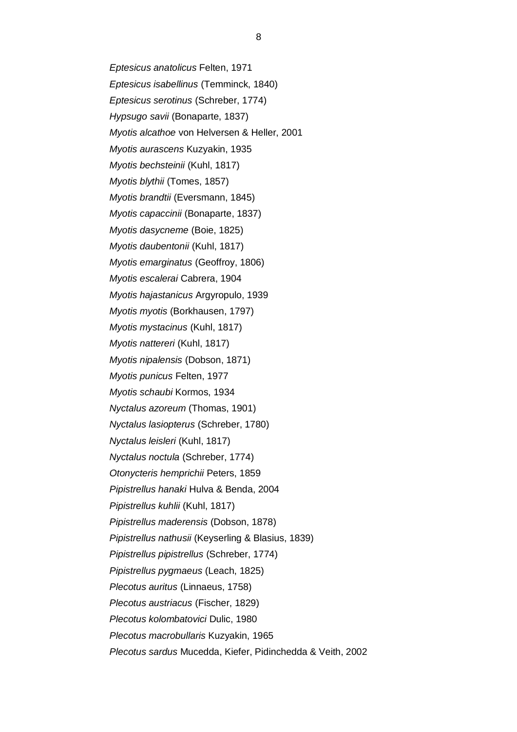*Eptesicus anatolicus* Felten, 1971 *Eptesicus isabellinus* (Temminck, 1840) *Eptesicus serotinus* (Schreber, 1774) *Hypsugo savii* (Bonaparte, 1837) *Myotis alcathoe* von Helversen & Heller, 2001 *Myotis aurascens* Kuzyakin, 1935 *Myotis bechsteinii* (Kuhl, 1817) *Myotis blythii* (Tomes, 1857) *Myotis brandtii* (Eversmann, 1845) *Myotis capaccinii* (Bonaparte, 1837) *Myotis dasycneme* (Boie, 1825) *Myotis daubentonii* (Kuhl, 1817) *Myotis emarginatus* (Geoffroy, 1806) *Myotis escalerai* Cabrera, 1904 *Myotis hajastanicus* Argyropulo, 1939 *Myotis myotis* (Borkhausen, 1797) *Myotis mystacinus* (Kuhl, 1817) *Myotis nattereri* (Kuhl, 1817) *Myotis nipalensis* (Dobson, 1871) *Myotis punicus* Felten, 1977 *Myotis schaubi* Kormos, 1934 *Nyctalus azoreum* (Thomas, 1901) *Nyctalus lasiopterus* (Schreber, 1780) *Nyctalus leisleri* (Kuhl, 1817) *Nyctalus noctula* (Schreber, 1774) *Otonycteris hemprichii* Peters, 1859 *Pipistrellus hanaki* Hulva & Benda, 2004 *Pipistrellus kuhlii* (Kuhl, 1817) *Pipistrellus maderensis* (Dobson, 1878) *Pipistrellus nathusii* (Keyserling & Blasius, 1839) *Pipistrellus pipistrellus* (Schreber, 1774) *Pipistrellus pygmaeus* (Leach, 1825) *Plecotus auritus* (Linnaeus, 1758) *Plecotus austriacus* (Fischer, 1829) *Plecotus kolombatovici* Dulic, 1980 *Plecotus macrobullaris* Kuzyakin, 1965 *Plecotus sardus* Mucedda, Kiefer, Pidinchedda & Veith, 2002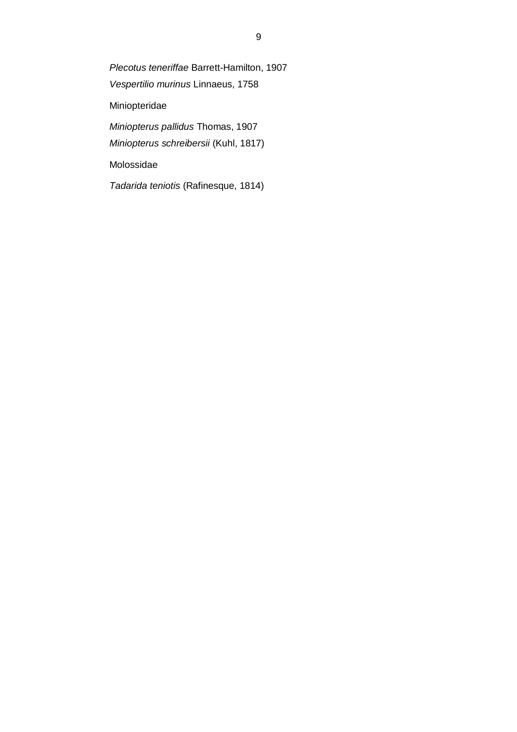*Plecotus teneriffae* Barrett-Hamilton, 1907 *Vespertilio murinus* Linnaeus, 1758 Miniopteridae *Miniopterus pallidus* Thomas, 1907 *Miniopterus schreibersii* (Kuhl, 1817)

Molossidae

*Tadarida teniotis* (Rafinesque, 1814)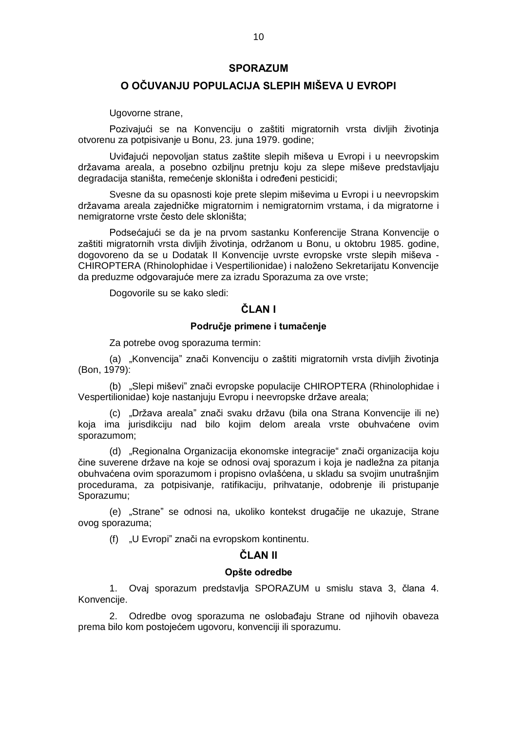### **SPORAZUM**

# **O OČUVANJU POPULACIJA SLEPIH MIŠEVA U EVROPI**

Ugovorne strane,

Pozivajući se na Konvenciju o zaštiti migratornih vrsta divljih životinja otvorenu za potpisivanje u Bonu, 23. juna 1979. godine;

Uviđajući nepovoljan status zaštite slepih miševa u Evropi i u neevropskim državama areala, a posebno ozbiljnu pretnju koju za slepe miševe predstavljaju degradacija staništa, remećenje skloništa i određeni pesticidi;

Svesne da su opasnosti koje prete slepim miševima u Evropi i u neevropskim državama areala zajedničke migratornim i nemigratornim vrstama, i da migratorne i nemigratorne vrste često dele skloništa;

Podsećajući se da je na prvom sastanku Konferencije Strana Konvencije o zaštiti migratornih vrsta divljih životinja, održanom u Bonu, u oktobru 1985. godine, dogovoreno da se u Dodatak II Konvencije uvrste evropske vrste slepih miševa - CHIROPTERA (Rhinolophidae i Vespertilionidae) i naloženo Sekretarijatu Konvencije da preduzme odgovarajuće mere za izradu Sporazuma za ove vrste;

Dogovorile su se kako sledi:

# **ČLAN I**

### **Područje primene i tumačenje**

Za potrebe ovog sporazuma termin:

(a) "Konvencija" znači Konvenciju o zaštiti migratornih vrsta divljih životinja (Bon, 1979):

(b) "Slepi miševi" znači evropske populacije CHIROPTERA (Rhinolophidae i Vespertilionidae) koje nastanjuju Evropu i neevropske države areala;

(c) "Država areala" znači svaku državu (bila ona Strana Konvencije ili ne) koja ima jurisdikciju nad bilo kojim delom areala vrste obuhvaćene ovim sporazumom;

(d) "Regionalna Organizacija ekonomske integracije" znači organizacija koju čine suverene države na koje se odnosi ovaj sporazum i koja je nadležna za pitanja obuhvaćena ovim sporazumom i propisno ovlašćena, u skladu sa svojim unutrašnjim procedurama, za potpisivanje, ratifikaciju, prihvatanje, odobrenje ili pristupanje Sporazumu;

(e) "Strane" se odnosi na, ukoliko kontekst drugačije ne ukazuje, Strane ovog sporazuma;

(f) "U Evropi" znači na evropskom kontinentu.

### **ČLAN II**

### **Opšte odredbe**

1. Ovaj sporazum predstavlja SPORAZUM u smislu stava 3, člana 4. Konvencije.

2. Odredbe ovog sporazuma ne oslobađaju Strane od njihovih obaveza prema bilo kom postojećem ugovoru, konvenciji ili sporazumu.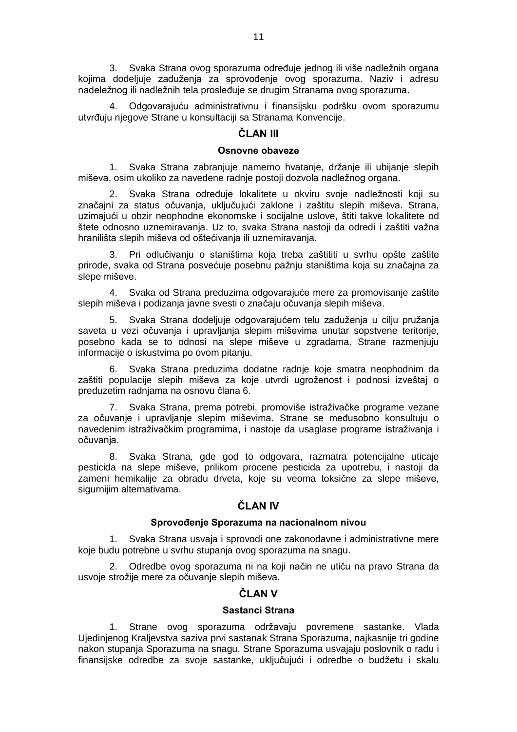3. Svaka Strana ovog sporazuma određuje jednog ili više nadležnih organa kojima dodeljuje zaduženja za sprovođenje ovog sporazuma. Naziv i adresu nadeležnog ili nadležnih tela prosleđuje se drugim Stranama ovog sporazuma.

4. Odgovarajuću administrativnu i finansijsku podršku ovom sporazumu utvrđuju njegove Strane u konsultaciji sa Stranama Konvencije.

# **ČLAN III**

### **Osnovne obaveze**

1. Svaka Strana zabranjuje namerno hvatanje, držanje ili ubijanje slepih miševa, osim ukoliko za navedene radnje postoji dozvola nadležnog organa.

2. Svaka Strana određuje lokalitete u okviru svoje nadležnosti koji su značajni za status očuvanja, uključujući zaklone i zaštitu slepih miševa. Strana, uzimajući u obzir neophodne ekonomske i socijalne uslove, štiti takve lokalitete od štete odnosno uznemiravanja. Uz to, svaka Strana nastoji da odredi i zaštiti važna hranilišta slepih miševa od oštećivanja ili uznemiravanja.

3. Pri odlučivanju o staništima koja treba zaštititi u svrhu opšte zaštite prirode, svaka od Strana posvećuje posebnu pažnju staništima koja su značajna za slepe miševe.

4. Svaka od Strana preduzima odgovarajuće mere za promovisanje zaštite slepih miševa i podizanja javne svesti o značaju očuvanja slepih miševa.

5. Svaka Strana dodeljuje odgovarajućem telu zaduženja u cilju pružanja saveta u vezi očuvanja i upravljanja slepim miševima unutar sopstvene teritorije, posebno kada se to odnosi na slepe miševe u zgradama. Strane razmenjuju informacije o iskustvima po ovom pitanju.

6. Svaka Strana preduzima dodatne radnje koje smatra neophodnim da zaštiti populacije slepih miševa za koje utvrdi ugroženost i podnosi izveštaj o preduzetim radnjama na osnovu člana 6.

7. Svaka Strana, prema potrebi, promoviše istraživačke programe vezane za očuvanje i upravljanje slepim miševima. Strane se međusobno konsultuju o navedenim istraživačkim programima, i nastoje da usaglase programe istraživanja i očuvanja.

8. Svaka Strana, gde god to odgovara, razmatra potencijalne uticaje pesticida na slepe miševe, prilikom procene pesticida za upotrebu, i nastoji da zameni hemikalije za obradu drveta, koje su veoma toksične za slepe miševe, sigurnijim alternativama.

# **ČLAN IV**

### **Sprovođenje Sporazuma na nacionalnom nivou**

1. Svaka Strana usvaja i sprovodi one zakonodavne i administrativne mere koje budu potrebne u svrhu stupanja ovog sporazuma na snagu.

2. Odredbe ovog sporazuma ni na koji način ne utiču na pravo Strana da usvoje strožije mere za očuvanje slepih miševa.

# **ČLAN V**

### **Sastanci Strana**

1. Strane ovog sporazuma održavaju povremene sastanke. Vlada Ujedinjenog Kraljevstva saziva prvi sastanak Strana Sporazuma, najkasnije tri godine nakon stupanja Sporazuma na snagu. Strane Sporazuma usvajaju poslovnik o radu i finansijske odredbe za svoje sastanke, uključujući i odredbe o budžetu i skalu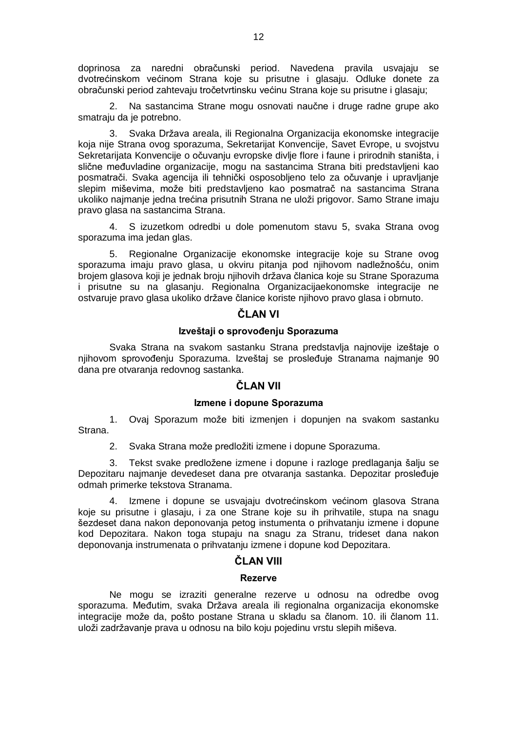doprinosa za naredni obračunski period. Navedena pravila usvajaju se dvotrećinskom većinom Strana koje su prisutne i glasaju. Odluke donete za obračunski period zahtevaju tročetvrtinsku većinu Strana koje su prisutne i glasaju;

2. Na sastancima Strane mogu osnovati naučne i druge radne grupe ako smatraju da je potrebno.

3. Svaka Država areala, ili Regionalna Organizacija ekonomske integracije koja nije Strana ovog sporazuma, Sekretarijat Konvencije, Savet Evrope, u svojstvu Sekretarijata Konvencije o očuvanju evropske divlje flore i faune i prirodnih staništa, i slične međuvladine organizacije, mogu na sastancima Strana biti predstavljeni kao posmatrači. Svaka agencija ili tehnički osposobljeno telo za očuvanje i upravljanje slepim miševima, može biti predstavljeno kao posmatrač na sastancima Strana ukoliko najmanje jedna trećina prisutnih Strana ne uloži prigovor. Samo Strane imaju pravo glasa na sastancima Strana.

4. S izuzetkom odredbi u dole pomenutom stavu 5, svaka Strana ovog sporazuma ima jedan glas.

5. Regionalne Organizacije ekonomske integracije koje su Strane ovog sporazuma imaju pravo glasa, u okviru pitanja pod njihovom nadležnošću, onim brojem glasova koji je jednak broju njihovih država članica koje su Strane Sporazuma i prisutne su na glasanju. Regionalna Organizacijaekonomske integracije ne ostvaruje pravo glasa ukoliko države članice koriste njihovo pravo glasa i obrnuto.

# **ČLAN VI**

### **Izveštaji o sprovođenju Sporazuma**

Svaka Strana na svakom sastanku Strana predstavlja najnovije izeštaje o njihovom sprovođenju Sporazuma. Izveštaj se prosleđuje Stranama najmanje 90 dana pre otvaranja redovnog sastanka.

# **ČLAN VII**

### **Izmene i dopune Sporazuma**

1. Ovaj Sporazum može biti izmenjen i dopunjen na svakom sastanku Strana.

2. Svaka Strana može predložiti izmene i dopune Sporazuma.

3. Tekst svake predložene izmene i dopune i razloge predlaganja šalju se Depozitaru najmanje devedeset dana pre otvaranja sastanka. Depozitar prosleđuje odmah primerke tekstova Stranama.

4. Izmene i dopune se usvajaju dvotrećinskom većinom glasova Strana koje su prisutne i glasaju, i za one Strane koje su ih prihvatile, stupa na snagu šezdeset dana nakon deponovanja petog instumenta o prihvatanju izmene i dopune kod Depozitara. Nakon toga stupaju na snagu za Stranu, trideset dana nakon deponovanja instrumenata o prihvatanju izmene i dopune kod Depozitara.

## **ČLAN VIII**

### **Rezerve**

Ne mogu se izraziti generalne rezerve u odnosu na odredbe ovog sporazuma. Međutim, svaka Država areala ili regionalna organizacija ekonomske integracije može da, pošto postane Strana u skladu sa članom. 10. ili članom 11. uloži zadržavanje prava u odnosu na bilo koju pojedinu vrstu slepih miševa.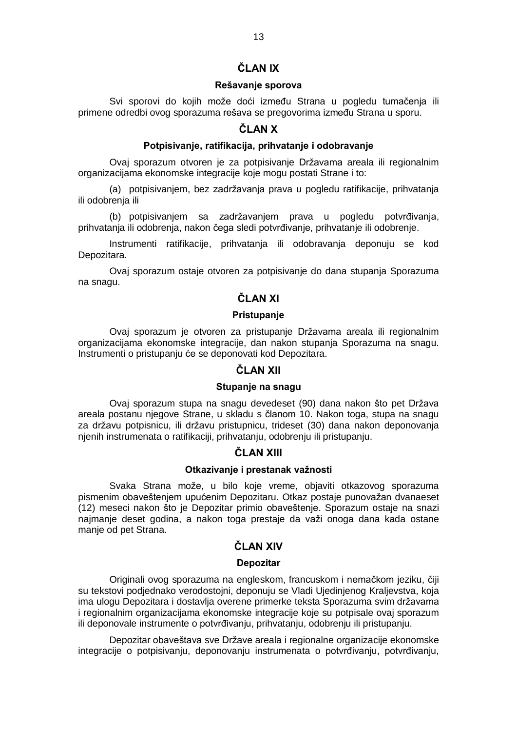# **ČLAN IX**

# **Rešavanje sporova**

Svi sporovi do kojih može doći između Strana u pogledu tumačenja ili primene odredbi ovog sporazuma rešava se pregovorima između Strana u sporu.

# **ČLAN X**

# **Potpisivanje, ratifikacija, prihvatanje i odobravanje**

Ovaj sporazum otvoren je za potpisivanje Državama areala ili regionalnim organizacijama ekonomske integracije koje mogu postati Strane i to:

(a) potpisivanjem, bez zadržavanja prava u pogledu ratifikacije, prihvatanja ili odobrenja ili

(b) potpisivanjem sa zadržavanjem prava u pogledu potvrđivanja, prihvatanja ili odobrenja, nakon čega sledi potvrđivanje, prihvatanje ili odobrenje.

Instrumenti ratifikacije, prihvatanja ili odobravanja deponuju se kod Depozitara.

Ovaj sporazum ostaje otvoren za potpisivanje do dana stupanja Sporazuma na snagu.

# **ČLAN XI**

### **Pristupanje**

Ovaj sporazum je otvoren za pristupanje Državama areala ili regionalnim organizacijama ekonomske integracije, dan nakon stupanja Sporazuma na snagu. Instrumenti o pristupanju će se deponovati kod Depozitara.

# **ČLAN XII**

### **Stupanje na snagu**

Ovaj sporazum stupa na snagu devedeset (90) dana nakon što pet Država areala postanu njegove Strane, u skladu s članom 10. Nakon toga, stupa na snagu za državu potpisnicu, ili državu pristupnicu, trideset (30) dana nakon deponovanja njenih instrumenata o ratifikaciji, prihvatanju, odobrenju ili pristupanju.

# **ČLAN XIII**

# **Otkazivanje i prestanak važnosti**

Svaka Strana može, u bilo koje vreme, objaviti otkazovog sporazuma pismenim obaveštenjem upućenim Depozitaru. Otkaz postaje punovažan dvanaeset (12) meseci nakon što je Depozitar primio obaveštenje. Sporazum ostaje na snazi najmanje deset godina, a nakon toga prestaje da važi onoga dana kada ostane manje od pet Strana.

# **ČLAN XIV**

### **Depozitar**

Originali ovog sporazuma na engleskom, francuskom i nemačkom jeziku, čiji su tekstovi podjednako verodostojni, deponuju se Vladi Ujedinjenog Kraljevstva, koja ima ulogu Depozitara i dostavlja overene primerke teksta Sporazuma svim državama i regionalnim organizacijama ekonomske integracije koje su potpisale ovaj sporazum ili deponovale instrumente o potvrđivanju, prihvatanju, odobrenju ili pristupanju.

Depozitar obaveštava sve Države areala i regionalne organizacije ekonomske integracije o potpisivanju, deponovanju instrumenata o potvrđivanju, potvrđivanju,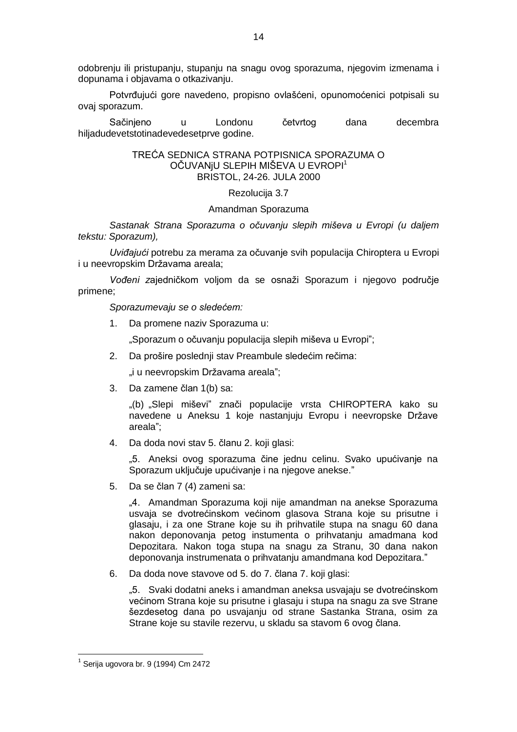odobrenju ili pristupanju, stupanju na snagu ovog sporazuma, njegovim izmenama i dopunama i objavama o otkazivanju.

Potvrđujući gore navedeno, propisno ovlašćeni, opunomoćenici potpisali su ovaj sporazum.

Sačinjeno u Londonu četvrtog dana decembra hiljadudevetstotinadevedesetprve godine.

# TREĆA SEDNICA STRANA POTPISNICA SPORAZUMA O OČUVANJU SLEPIH MIŠEVA U EVROPI<sup>1</sup> BRISTOL, 24-26. JULA 2000

### Rezolucija 3.7

### Amandman Sporazuma

*Sastanak Strana Sporazuma o očuvanju slepih miševa u Evropi (u daljem tekstu: Sporazum),*

*Uviđajući* potrebu za merama za očuvanje svih populacija Chiroptera u Evropi i u neevropskim Državama areala;

*Vođeni z*ajedničkom voljom da se osnaži Sporazum i njegovo područje primene;

*Sporazumevaju se o sledećem:*

1. Da promene naziv Sporazuma u:

"Sporazum o očuvanju populacija slepih miševa u Evropi";

2. Da prošire poslednji stav Preambule sledećim rečima:

"i u neevropskim Državama areala";

3. Da zamene član 1(b) sa:

"(b) "Slepi miševi" znači populacije vrsta CHIROPTERA kako su navedene u Aneksu 1 koje nastanjuju Evropu i neevropske Države areala";

4. Da doda novi stav 5. članu 2. koji glasi:

"5. Aneksi ovog sporazuma čine jednu celinu. Svako upućivanje na Sporazum uključuje upućivanje i na njegove anekse."

5. Da se član 7 (4) zameni sa:

"4. Amandman Sporazuma koji nije amandman na anekse Sporazuma usvaja se dvotrećinskom većinom glasova Strana koje su prisutne i glasaju, i za one Strane koje su ih prihvatile stupa na snagu 60 dana nakon deponovanja petog instumenta o prihvatanju amadmana kod Depozitara. Nakon toga stupa na snagu za Stranu, 30 dana nakon deponovanja instrumenata o prihvatanju amandmana kod Depozitara."

6. Da doda nove stavove od 5. do 7. člana 7. koji glasi:

"5. Svaki dodatni aneks i amandman aneksa usvajaju se dvotrećinskom većinom Strana koje su prisutne i glasaju i stupa na snagu za sve Strane šezdesetog dana po usvajanju od strane Sastanka Strana, osim za Strane koje su stavile rezervu, u skladu sa stavom 6 ovog člana.

**.** 

 $<sup>1</sup>$  Serija ugovora br. 9 (1994) Cm 2472</sup>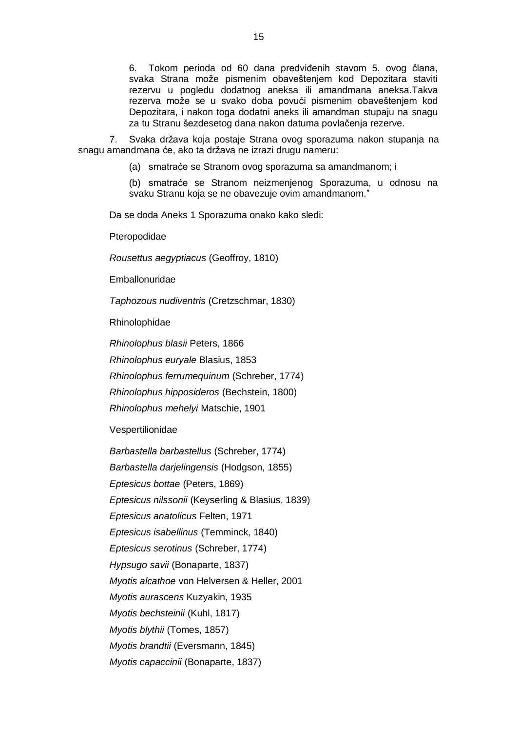6. Tokom perioda od 60 dana predviđenih stavom 5. ovog člana, svaka Strana može pismenim obaveštenjem kod Depozitara staviti rezervu u pogledu dodatnog aneksa ili amandmana aneksa.Takva rezerva može se u svako doba povući pismenim obaveštenjem kod Depozitara, i nakon toga dodatni aneks ili amandman stupaju na snagu za tu Stranu šezdesetog dana nakon datuma povlačenja rezerve.

7. Svaka država koja postaje Strana ovog sporazuma nakon stupanja na snagu amandmana će, ako ta država ne izrazi drugu nameru:

(a) smatraće se Stranom ovog sporazuma sa amandmanom; i

(b) smatraće se Stranom neizmenjenog Sporazuma, u odnosu na svaku Stranu koja se ne obavezuje ovim amandmanom."

Da se doda Aneks 1 Sporazuma onako kako sledi:

Pteropodidae

*Rousettus aegyptiacus* (Geoffroy, 1810)

Emballonuridae

*Taphozous nudiventris* (Cretzschmar, 1830)

Rhinolophidae

*Rhinolophus blasii* Peters, 1866

*Rhinolophus euryale* Blasius, 1853

*Rhinolophus ferrumequinum* (Schreber, 1774)

*Rhinolophus hipposideros* (Bechstein, 1800)

*Rhinolophus mehelyi* Matschie, 1901

Vespertilionidae

*Barbastella barbastellus* (Schreber, 1774)

*Barbastella darjelingensis* (Hodgson, 1855)

*Eptesicus bottae* (Peters, 1869)

*Eptesicus nilssonii* (Keyserling & Blasius, 1839)

*Eptesicus anatolicus* Felten, 1971

*Eptesicus isabellinus* (Temminck, 1840)

*Eptesicus serotinus* (Schreber, 1774)

*Hypsugo savii* (Bonaparte, 1837)

*Myotis alcathoe* von Helversen & Heller, 2001

*Myotis aurascens* Kuzyakin, 1935

*Myotis bechsteinii* (Kuhl, 1817)

*Myotis blythii* (Tomes, 1857)

*Myotis brandtii* (Eversmann, 1845)

*Myotis capaccinii* (Bonaparte, 1837)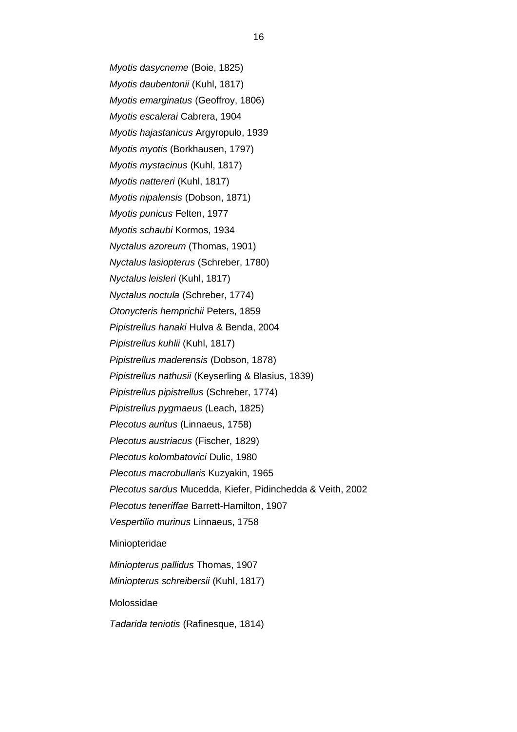*Myotis dasycneme* (Boie, 1825) *Myotis daubentonii* (Kuhl, 1817) *Myotis emarginatus* (Geoffroy, 1806) *Myotis escalerai* Cabrera, 1904 *Myotis hajastanicus* Argyropulo, 1939 *Myotis myotis* (Borkhausen, 1797) *Myotis mystacinus* (Kuhl, 1817) *Myotis nattereri* (Kuhl, 1817) *Myotis nipalensis* (Dobson, 1871) *Myotis punicus* Felten, 1977 *Myotis schaubi* Kormos, 1934 *Nyctalus azoreum* (Thomas, 1901) *Nyctalus lasiopterus* (Schreber, 1780) *Nyctalus leisleri* (Kuhl, 1817) *Nyctalus noctula* (Schreber, 1774) *Otonycteris hemprichii* Peters, 1859 *Pipistrellus hanaki* Hulva & Benda, 2004 *Pipistrellus kuhlii* (Kuhl, 1817) *Pipistrellus maderensis* (Dobson, 1878) *Pipistrellus nathusii* (Keyserling & Blasius, 1839) *Pipistrellus pipistrellus* (Schreber, 1774) *Pipistrellus pygmaeus* (Leach, 1825) *Plecotus auritus* (Linnaeus, 1758) *Plecotus austriacus* (Fischer, 1829) *Plecotus kolombatovici* Dulic, 1980 *Plecotus macrobullaris* Kuzyakin, 1965 *Plecotus sardus* Mucedda, Kiefer, Pidinchedda & Veith, 2002 *Plecotus teneriffae* Barrett-Hamilton, 1907 *Vespertilio murinus* Linnaeus, 1758 Miniopteridae *Miniopterus pallidus* Thomas, 1907 *Miniopterus schreibersii* (Kuhl, 1817) Molossidae

*Tadarida teniotis* (Rafinesque, 1814)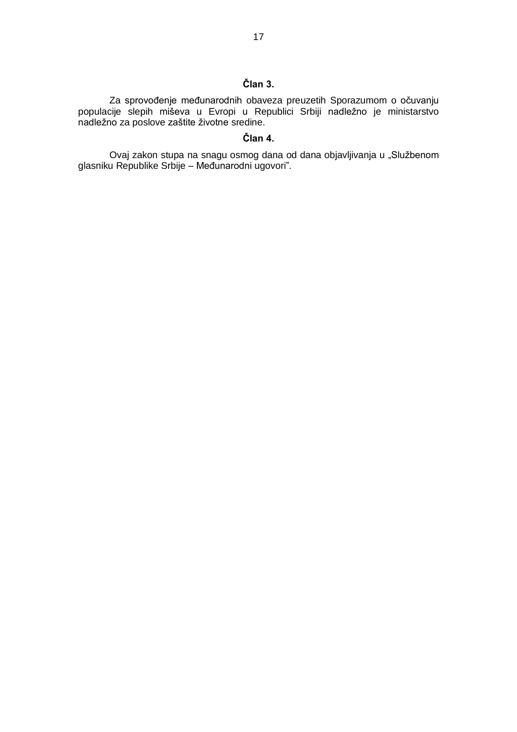# **Član 3.**

Za sprovođenje međunarodnih obaveza preuzetih Sporazumom o očuvanju populacije slepih miševa u Evropi u Republici Srbiji nadležno je ministarstvo nadležno za poslove zaštite životne sredine.

# **Član 4.**

Ovaj zakon stupa na snagu osmog dana od dana objavljivanja u "Službenom glasniku Republike Srbije – Međunarodni ugovori".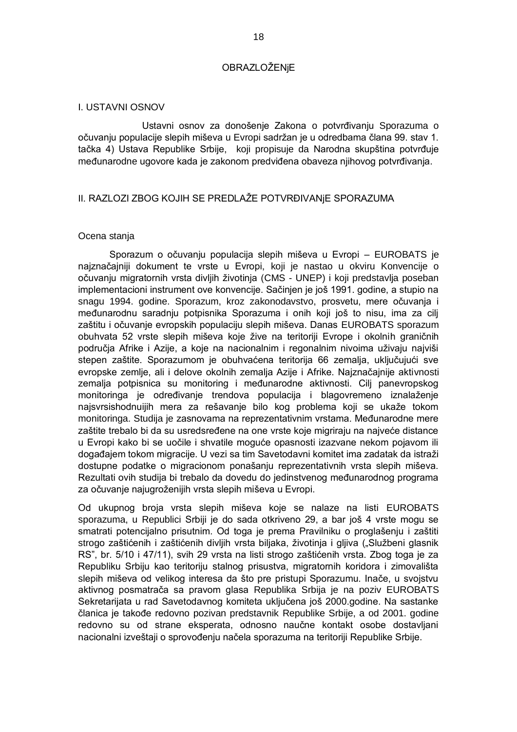### OBRAZLOŽENjE

### I. USTAVNI OSNOV

 Ustavni osnov za donošenje Zakona o potvrđivanju Sporazuma o očuvanju populacije slepih miševa u Evropi sadržan je u odredbama člana 99. stav 1. tačka 4) Ustava Republike Srbije, koji propisuje da Narodna skupština potvrđuje međunarodne ugovore kada je zakonom predviđena obaveza njihovog potvrđivanja.

# II. RAZLOZI ZBOG KOJIH SE PREDLAŽE POTVRĐIVANjE SPORAZUMA

#### Ocena stanja

Sporazum o očuvanju populacija slepih miševa u Evropi – EUROBATS je najznačajniji dokument te vrste u Evropi, koji je nastao u okviru Konvencije o očuvanju migratornih vrsta divljih životinja (CMS - UNEP) i koji predstavlja poseban implementacioni instrument ove konvencije. Sačinjen je još 1991. godine, a stupio na snagu 1994. godine. Sporazum, kroz zakonodavstvo, prosvetu, mere očuvanja i međunarodnu saradnju potpisnika Sporazuma i onih koji još to nisu, ima za cilj zaštitu i očuvanje evropskih populaciju slepih miševa. Danas EUROBATS sporazum obuhvata 52 vrste slepih miševa koje žive na teritoriji Evrope i okolnih graničnih područja Afrike i Azije, a koje na nacionalnim i regonalnim nivoima uživaju najviši stepen zaštite. Sporazumom je obuhvaćena teritorija 66 zemalja, uključujući sve evropske zemlje, ali i delove okolnih zemalja Azije i Afrike. Najznačajnije aktivnosti zemalja potpisnica su monitoring i međunarodne aktivnosti. Cilj panevropskog monitoringa je određivanje trendova populacija i blagovremeno iznalaženje najsvrsishodnuijih mera za rešavanje bilo kog problema koji se ukaže tokom monitoringa. Studija je zasnovama na reprezentativnim vrstama. Međunarodne mere zaštite trebalo bi da su usredsređene na one vrste koje migriraju na najveće distance u Evropi kako bi se uočile i shvatile moguće opasnosti izazvane nekom pojavom ili događajem tokom migracije. U vezi sa tim Savetodavni komitet ima zadatak da istraži dostupne podatke o migracionom ponašanju reprezentativnih vrsta slepih miševa. Rezultati ovih studija bi trebalo da dovedu do jedinstvenog međunarodnog programa za očuvanje najugroženijih vrsta slepih miševa u Evropi.

Od ukupnog broja vrsta slepih miševa koje se nalaze na listi EUROBATS sporazuma, u Republici Srbiji je do sada otkriveno 29, a bar još 4 vrste mogu se smatrati potencijalno prisutnim. Od toga je prema Pravilniku o proglašenju i zaštiti strogo zaštićenih i zaštićenih divljih vrsta biljaka, životinja i gljiva ("Službeni glasnik RS", br. 5/10 i 47/11), svih 29 vrsta na listi strogo zaštićenih vrsta. Zbog toga je za Republiku Srbiju kao teritoriju stalnog prisustva, migratornih koridora i zimovališta slepih miševa od velikog interesa da što pre pristupi Sporazumu. Inače, u svojstvu aktivnog posmatrača sa pravom glasa Republika Srbija je na poziv EUROBATS Sekretarijata u rad Savetodavnog komiteta uključena još 2000.godine. Na sastanke članica je takođe redovno pozivan predstavnik Republike Srbije, a od 2001. godine redovno su od strane eksperata, odnosno naučne kontakt osobe dostavljani nacionalni izveštaji o sprovođenju načela sporazuma na teritoriji Republike Srbije.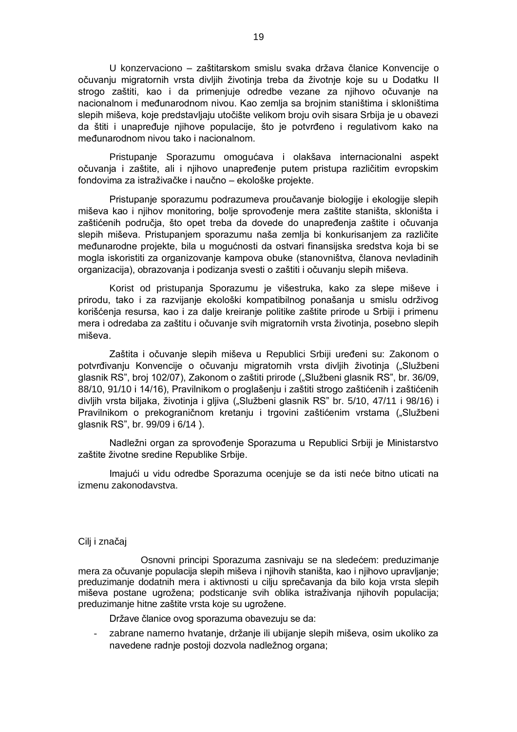U konzervaciono – zaštitarskom smislu svaka država članice Konvencije o očuvanju migratornih vrsta divljih životinja treba da životnje koje su u Dodatku II strogo zaštiti, kao i da primenjuje odredbe vezane za njihovo očuvanje na nacionalnom i međunarodnom nivou. Kao zemlja sa brojnim staništima i skloništima slepih miševa, koje predstavljaju utočište velikom broju ovih sisara Srbija je u obavezi da štiti i unapređuje njihove populacije, što je potvrđeno i regulativom kako na međunarodnom nivou tako i nacionalnom.

Pristupanje Sporazumu omogućava i olakšava internacionalni aspekt očuvanja i zaštite, ali i njihovo unapređenje putem pristupa različitim evropskim fondovima za istraživačke i naučno – ekološke projekte.

Pristupanje sporazumu podrazumeva proučavanje biologije i ekologije slepih miševa kao i njihov monitoring, bolje sprovođenje mera zaštite staništa, skloništa i zaštićenih područja, što opet treba da dovede do unapređenja zaštite i očuvanja slepih miševa. Pristupanjem sporazumu naša zemlja bi konkurisanjem za različite međunarodne projekte, bila u mogućnosti da ostvari finansijska sredstva koja bi se mogla iskoristiti za organizovanje kampova obuke (stanovništva, članova nevladinih organizacija), obrazovanja i podizanja svesti o zaštiti i očuvanju slepih miševa.

Korist od pristupanja Sporazumu je višestruka, kako za slepe miševe i prirodu, tako i za razvijanje ekološki kompatibilnog ponašanja u smislu održivog korišćenja resursa, kao i za dalje kreiranje politike zaštite prirode u Srbiji i primenu mera i odredaba za zaštitu i očuvanje svih migratornih vrsta životinja, posebno slepih miševa.

Zaštita i očuvanje slepih miševa u Republici Srbiji uređeni su: Zakonom o potvrđivanju Konvencije o očuvanju migratornih vrsta divljih životinja ("Službeni glasnik RS", broj 102/07), Zakonom o zaštiti prirode ("Službeni glasnik RS", br. 36/09, 88/10, 91/10 i 14/16), Pravilnikom o proglašenju i zaštiti strogo zaštićenih i zaštićenih divljih vrsta biljaka, životinja i gljiva ("Službeni glasnik RS" br. 5/10, 47/11 i 98/16) i Pravilnikom o prekograničnom kretanju i trgovini zaštićenim vrstama ("Službeni glasnik RS", br. 99/09 i 6/14 ).

Nadležni organ za sprovođenje Sporazuma u Republici Srbiji je Ministarstvo zaštite životne sredine Republike Srbije.

Imajući u vidu odredbe Sporazuma ocenjuje se da isti neće bitno uticati na izmenu zakonodavstva.

### Cilj i značaj

Osnovni principi Sporazuma zasnivaju se na sledećem: preduzimanje mera za očuvanje populacija slepih miševa i njihovih staništa, kao i njihovo upravljanje; preduzimanje dodatnih mera i aktivnosti u cilju sprečavanja da bilo koja vrsta slepih miševa postane ugrožena; podsticanje svih oblika istraživanja njihovih populacija; preduzimanje hitne zaštite vrsta koje su ugrožene.

Države članice ovog sporazuma obavezuju se da:

zabrane namerno hvatanje, držanje ili ubijanje slepih miševa, osim ukoliko za navedene radnje postoji dozvola nadležnog organa;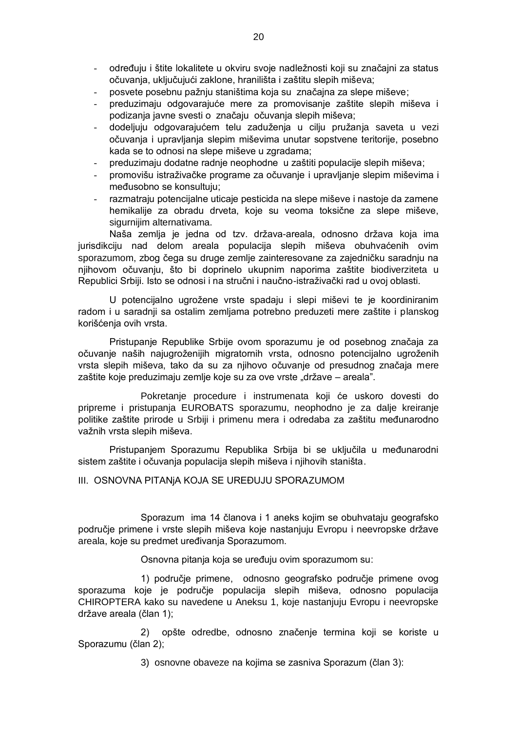- određuju i štite lokalitete u okviru svoje nadležnosti koji su značajni za status očuvanja, uključujući zaklone, hranilišta i zaštitu slepih miševa;
- posvete posebnu pažnju staništima koja su značajna za slepe miševe;
- preduzimaju odgovarajuće mere za promovisanje zaštite slepih miševa i podizanja javne svesti o značaju očuvanja slepih miševa;
- dodeljuju odgovarajućem telu zaduženja u cilju pružanja saveta u vezi očuvanja i upravljanja slepim miševima unutar sopstvene teritorije, posebno kada se to odnosi na slepe miševe u zgradama;
- preduzimaju dodatne radnje neophodne u zaštiti populacije slepih miševa;
- promovišu istraživačke programe za očuvanje i upravljanje slepim miševima i međusobno se konsultuju;
- razmatraju potencijalne uticaje pesticida na slepe miševe i nastoje da zamene hemikalije za obradu drveta, koje su veoma toksične za slepe miševe, sigurnijim alternativama.

Naša zemlja je jedna od tzv. država-areala, odnosno država koja ima jurisdikciju nad delom areala populacija slepih miševa obuhvaćenih ovim sporazumom, zbog čega su druge zemlje zainteresovane za zajedničku saradnju na njihovom očuvanju, što bi doprinelo ukupnim naporima zaštite biodiverziteta u Republici Srbiji. Isto se odnosi i na stručni i naučno-istraživački rad u ovoj oblasti.

U potencijalno ugrožene vrste spadaju i slepi miševi te je koordiniranim radom i u saradnji sa ostalim zemljama potrebno preduzeti mere zaštite i planskog korišćenja ovih vrsta.

Pristupanje Republike Srbije ovom sporazumu je od posebnog značaja za očuvanje naših najugroženijih migratornih vrsta, odnosno potencijalno ugroženih vrsta slepih miševa, tako da su za njihovo očuvanje od presudnog značaja mere zaštite koje preduzimaju zemlje koje su za ove vrste "države – areala".

Pokretanje procedure i instrumenata koji će uskoro dovesti do pripreme i pristupanja EUROBATS sporazumu, neophodno je za dalje kreiranje politike zaštite prirode u Srbiji i primenu mera i odredaba za zaštitu međunarodno važnih vrsta slepih miševa.

Pristupanjem Sporazumu Republika Srbija bi se uključila u međunarodni sistem zaštite i očuvanja populacija slepih miševa i njihovih staništa.

III. OSNOVNA PITANjA KOJA SE UREĐUJU SPORAZUMOM

Sporazum ima 14 članova i 1 aneks kojim se obuhvataju geografsko područje primene i vrste slepih miševa koje nastanjuju Evropu i neevropske države areala, koje su predmet uređivanja Sporazumom.

Osnovna pitanja koja se uređuju ovim sporazumom su:

1) područje primene, odnosno geografsko područje primene ovog sporazuma koje je područje populacija slepih miševa, odnosno populacija CHIROPTERA kako su navedene u Aneksu 1, koje nastanjuju Evropu i neevropske države areala (član 1);

2) opšte odredbe, odnosno značenje termina koji se koriste u Sporazumu (član 2);

3) osnovne obaveze na kojima se zasniva Sporazum (član 3):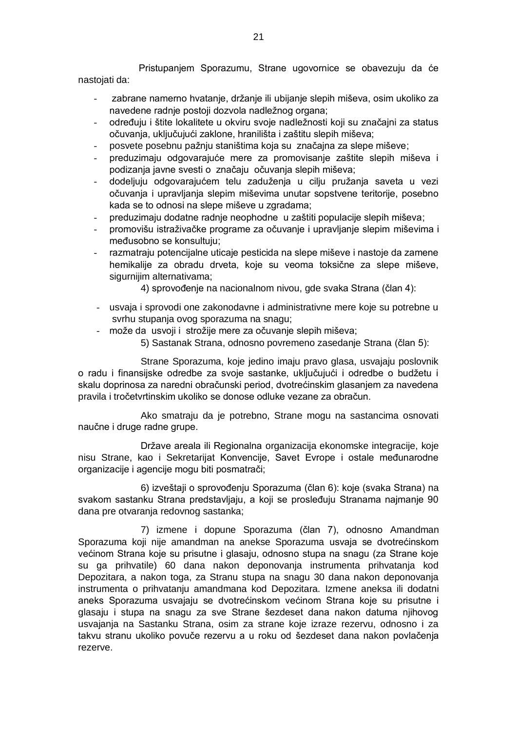Pristupanjem Sporazumu, Strane ugovornice se obavezuju da će nastojati da:

- zabrane namerno hvatanje, držanje ili ubijanje slepih miševa, osim ukoliko za navedene radnje postoji dozvola nadležnog organa;
- određuju i štite lokalitete u okviru svoje nadležnosti koji su značajni za status očuvanja, uključujući zaklone, hranilišta i zaštitu slepih miševa;
- posvete posebnu pažnju staništima koja su značajna za slepe miševe;
- preduzimaju odgovarajuće mere za promovisanje zaštite slepih miševa i podizanja javne svesti o značaju očuvanja slepih miševa;
- dodeljuju odgovarajućem telu zaduženja u cilju pružanja saveta u vezi očuvanja i upravljanja slepim miševima unutar sopstvene teritorije, posebno kada se to odnosi na slepe miševe u zgradama:
- preduzimaju dodatne radnje neophodne u zaštiti populacije slepih miševa;
- promovišu istraživačke programe za očuvanje i upravljanje slepim miševima i međusobno se konsultuju;
- razmatraju potencijalne uticaje pesticida na slepe miševe i nastoje da zamene hemikalije za obradu drveta, koje su veoma toksične za slepe miševe, sigurnijim alternativama;
	- 4) sprovođenje na nacionalnom nivou, gde svaka Strana (član 4):
- usvaja i sprovodi one zakonodavne i administrativne mere koje su potrebne u svrhu stupanja ovog sporazuma na snagu;
- može da usvoji i strožije mere za očuvanje slepih miševa;
	- 5) Sastanak Strana, odnosno povremeno zasedanje Strana (član 5):

Strane Sporazuma, koje jedino imaju pravo glasa, usvajaju poslovnik o radu i finansijske odredbe za svoje sastanke, uključujući i odredbe o budžetu i skalu doprinosa za naredni obračunski period, dvotrećinskim glasanjem za navedena pravila i tročetvrtinskim ukoliko se donose odluke vezane za obračun.

Ako smatraju da je potrebno, Strane mogu na sastancima osnovati naučne i druge radne grupe.

Države areala ili Regionalna organizacija ekonomske integracije, koje nisu Strane, kao i Sekretarijat Konvencije, Savet Evrope i ostale međunarodne organizacije i agencije mogu biti posmatrači;

6) izveštaji o sprovođenju Sporazuma (član 6): koje (svaka Strana) na svakom sastanku Strana predstavljaju, a koji se prosleđuju Stranama najmanje 90 dana pre otvaranja redovnog sastanka;

7) izmene i dopune Sporazuma (član 7), odnosno Amandman Sporazuma koji nije amandman na anekse Sporazuma usvaja se dvotrećinskom većinom Strana koje su prisutne i glasaju, odnosno stupa na snagu (za Strane koje su ga prihvatile) 60 dana nakon deponovanja instrumenta prihvatanja kod Depozitara, a nakon toga, za Stranu stupa na snagu 30 dana nakon deponovanja instrumenta o prihvatanju amandmana kod Depozitara. Izmene aneksa ili dodatni aneks Sporazuma usvajaju se dvotrećinskom većinom Strana koje su prisutne i glasaju i stupa na snagu za sve Strane šezdeset dana nakon datuma njihovog usvajanja na Sastanku Strana, osim za strane koje izraze rezervu, odnosno i za takvu stranu ukoliko povuče rezervu a u roku od šezdeset dana nakon povlačenja rezerve.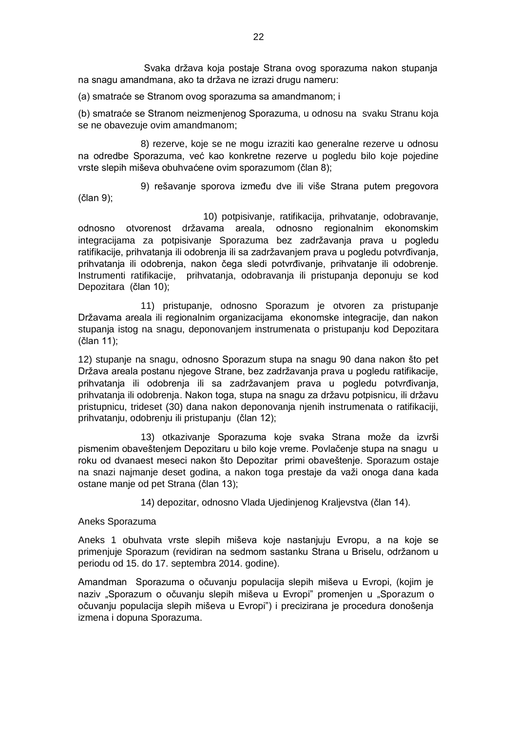Svaka država koja postaje Strana ovog sporazuma nakon stupanja na snagu amandmana, ako ta država ne izrazi drugu nameru:

(a) smatraće se Stranom ovog sporazuma sa amandmanom; i

(b) smatraće se Stranom neizmenjenog Sporazuma, u odnosu na svaku Stranu koja se ne obavezuje ovim amandmanom;

8) rezerve, koje se ne mogu izraziti kao generalne rezerve u odnosu na odredbe Sporazuma, već kao konkretne rezerve u pogledu bilo koje pojedine vrste slepih miševa obuhvaćene ovim sporazumom (član 8);

9) rešavanje sporova između dve ili više Strana putem pregovora (član 9);

10) potpisivanje, ratifikacija, prihvatanje, odobravanje, odnosno otvorenost državama areala, odnosno regionalnim ekonomskim integracijama za potpisivanje Sporazuma bez zadržavanja prava u pogledu ratifikacije, prihvatanja ili odobrenja ili sa zadržavanjem prava u pogledu potvrđivanja, prihvatanja ili odobrenja, nakon čega sledi potvrđivanje, prihvatanje ili odobrenje. Instrumenti ratifikacije, prihvatanja, odobravanja ili pristupanja deponuju se kod Depozitara (član 10);

11) pristupanje, odnosno Sporazum je otvoren za pristupanje Državama areala ili regionalnim organizacijama ekonomske integracije, dan nakon stupanja istog na snagu, deponovanjem instrumenata o pristupanju kod Depozitara (član 11);

12) stupanje na snagu, odnosno Sporazum stupa na snagu 90 dana nakon što pet Država areala postanu njegove Strane, bez zadržavanja prava u pogledu ratifikacije, prihvatanja ili odobrenja ili sa zadržavanjem prava u pogledu potvrđivanja, prihvatanja ili odobrenja. Nakon toga, stupa na snagu za državu potpisnicu, ili državu pristupnicu, trideset (30) dana nakon deponovanja njenih instrumenata o ratifikaciji, prihvatanju, odobrenju ili pristupanju (član 12);

13) otkazivanje Sporazuma koje svaka Strana može da izvrši pismenim obaveštenjem Depozitaru u bilo koje vreme. Povlačenje stupa na snagu u roku od dvanaest meseci nakon što Depozitar primi obaveštenje. Sporazum ostaje na snazi najmanje deset godina, a nakon toga prestaje da važi onoga dana kada ostane manje od pet Strana (član 13);

14) depozitar, odnosno Vlada Ujedinjenog Kraljevstva (član 14).

### Aneks Sporazuma

Aneks 1 obuhvata vrste slepih miševa koje nastanjuju Evropu, a na koje se primenjuje Sporazum (revidiran na sedmom sastanku Strana u Briselu, održanom u periodu od 15. do 17. septembra 2014. godine).

Amandman Sporazuma o očuvanju populacija slepih miševa u Evropi, (kojim je naziv "Sporazum o očuvanju slepih miševa u Evropi" promenjen u "Sporazum o očuvanju populacija slepih miševa u Evropi") i precizirana je procedura donošenja izmena i dopuna Sporazuma.